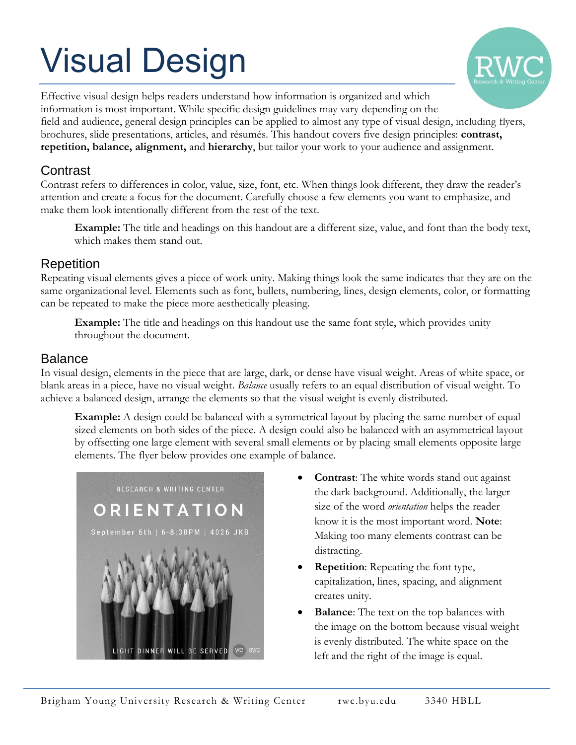# Visual Design



Effective visual design helps readers understand how information is organized and which information is most important. While specific design guidelines may vary depending on the field and audience, general design principles can be applied to almost any type of visual design, including flyers, brochures, slide presentations, articles, and résumés. This handout covers five design principles: **contrast, repetition, balance, alignment,** and **hierarchy**, but tailor your work to your audience and assignment.

# **Contrast**

Contrast refers to differences in color, value, size, font, etc. When things look different, they draw the reader's attention and create a focus for the document. Carefully choose a few elements you want to emphasize, and make them look intentionally different from the rest of the text.

**Example:** The title and headings on this handout are a different size, value, and font than the body text, which makes them stand out.

## Repetition

Repeating visual elements gives a piece of work unity. Making things look the same indicates that they are on the same organizational level. Elements such as font, bullets, numbering, lines, design elements, color, or formatting can be repeated to make the piece more aesthetically pleasing.

**Example:** The title and headings on this handout use the same font style, which provides unity throughout the document.

#### Balance

In visual design, elements in the piece that are large, dark, or dense have visual weight. Areas of white space, or blank areas in a piece, have no visual weight. *Balance* usually refers to an equal distribution of visual weight. To achieve a balanced design, arrange the elements so that the visual weight is evenly distributed.

**Example:** A design could be balanced with a symmetrical layout by placing the same number of equal sized elements on both sides of the piece. A design could also be balanced with an asymmetrical layout by offsetting one large element with several small elements or by placing small elements opposite large elements. The flyer below provides one example of balance.



- **Contrast**: The white words stand out against the dark background. Additionally, the larger size of the word *orientation* helps the reader know it is the most important word. **Note**: Making too many elements contrast can be distracting.
- **Repetition**: Repeating the font type, capitalization, lines, spacing, and alignment creates unity.
- **Balance**: The text on the top balances with the image on the bottom because visual weight is evenly distributed. The white space on the left and the right of the image is equal.